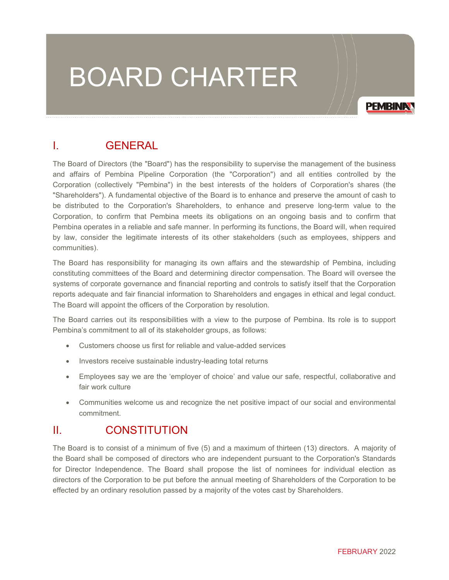# BOARD CHARTER

**PEMBINA** 

# I. GENERAL

The Board of Directors (the "Board") has the responsibility to supervise the management of the business and affairs of Pembina Pipeline Corporation (the "Corporation") and all entities controlled by the Corporation (collectively "Pembina") in the best interests of the holders of Corporation's shares (the "Shareholders"). A fundamental objective of the Board is to enhance and preserve the amount of cash to be distributed to the Corporation's Shareholders, to enhance and preserve long-term value to the Corporation, to confirm that Pembina meets its obligations on an ongoing basis and to confirm that Pembina operates in a reliable and safe manner. In performing its functions, the Board will, when required by law, consider the legitimate interests of its other stakeholders (such as employees, shippers and communities).

The Board has responsibility for managing its own affairs and the stewardship of Pembina, including constituting committees of the Board and determining director compensation. The Board will oversee the systems of corporate governance and financial reporting and controls to satisfy itself that the Corporation reports adequate and fair financial information to Shareholders and engages in ethical and legal conduct. The Board will appoint the officers of the Corporation by resolution.

The Board carries out its responsibilities with a view to the purpose of Pembina. Its role is to support Pembina's commitment to all of its stakeholder groups, as follows:

- Customers choose us first for reliable and value-added services
- Investors receive sustainable industry-leading total returns
- Employees say we are the 'employer of choice' and value our safe, respectful, collaborative and fair work culture
- Communities welcome us and recognize the net positive impact of our social and environmental commitment.

### II. CONSTITUTION

The Board is to consist of a minimum of five (5) and a maximum of thirteen (13) directors. A majority of the Board shall be composed of directors who are independent pursuant to the Corporation's Standards for Director Independence. The Board shall propose the list of nominees for individual election as directors of the Corporation to be put before the annual meeting of Shareholders of the Corporation to be effected by an ordinary resolution passed by a majority of the votes cast by Shareholders.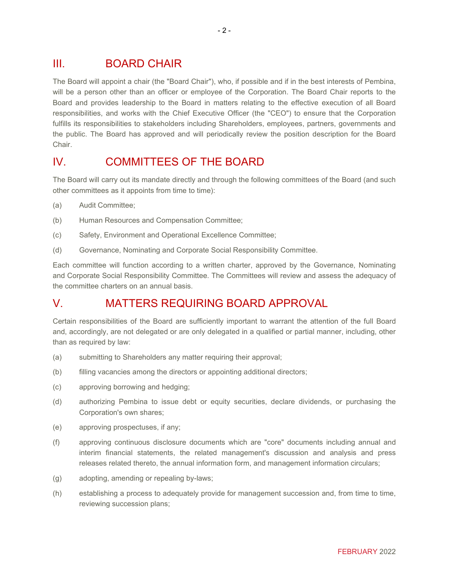# III. BOARD CHAIR

The Board will appoint a chair (the "Board Chair"), who, if possible and if in the best interests of Pembina, will be a person other than an officer or employee of the Corporation. The Board Chair reports to the Board and provides leadership to the Board in matters relating to the effective execution of all Board responsibilities, and works with the Chief Executive Officer (the "CEO") to ensure that the Corporation fulfills its responsibilities to stakeholders including Shareholders, employees, partners, governments and the public. The Board has approved and will periodically review the position description for the Board Chair.

# IV. COMMITTEES OF THE BOARD

The Board will carry out its mandate directly and through the following committees of the Board (and such other committees as it appoints from time to time):

- (a) Audit Committee;
- (b) Human Resources and Compensation Committee;
- (c) Safety, Environment and Operational Excellence Committee;
- (d) Governance, Nominating and Corporate Social Responsibility Committee.

Each committee will function according to a written charter, approved by the Governance, Nominating and Corporate Social Responsibility Committee. The Committees will review and assess the adequacy of the committee charters on an annual basis.

# V. MATTERS REQUIRING BOARD APPROVAL

Certain responsibilities of the Board are sufficiently important to warrant the attention of the full Board and, accordingly, are not delegated or are only delegated in a qualified or partial manner, including, other than as required by law:

- (a) submitting to Shareholders any matter requiring their approval;
- (b) filling vacancies among the directors or appointing additional directors;
- (c) approving borrowing and hedging;
- (d) authorizing Pembina to issue debt or equity securities, declare dividends, or purchasing the Corporation's own shares;
- (e) approving prospectuses, if any;
- (f) approving continuous disclosure documents which are "core" documents including annual and interim financial statements, the related management's discussion and analysis and press releases related thereto, the annual information form, and management information circulars;
- (g) adopting, amending or repealing by-laws;
- (h) establishing a process to adequately provide for management succession and, from time to time, reviewing succession plans;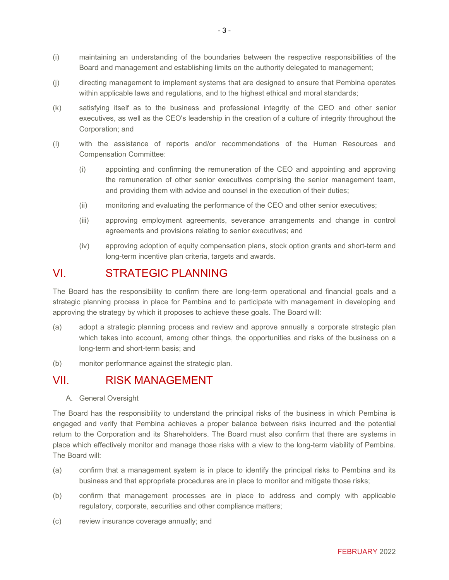- (i) maintaining an understanding of the boundaries between the respective responsibilities of the Board and management and establishing limits on the authority delegated to management;
- (j) directing management to implement systems that are designed to ensure that Pembina operates within applicable laws and regulations, and to the highest ethical and moral standards;
- (k) satisfying itself as to the business and professional integrity of the CEO and other senior executives, as well as the CEO's leadership in the creation of a culture of integrity throughout the Corporation; and
- (l) with the assistance of reports and/or recommendations of the Human Resources and Compensation Committee:
	- (i) appointing and confirming the remuneration of the CEO and appointing and approving the remuneration of other senior executives comprising the senior management team, and providing them with advice and counsel in the execution of their duties;
	- (ii) monitoring and evaluating the performance of the CEO and other senior executives;
	- (iii) approving employment agreements, severance arrangements and change in control agreements and provisions relating to senior executives; and
	- (iv) approving adoption of equity compensation plans, stock option grants and short-term and long-term incentive plan criteria, targets and awards.

#### VI. STRATEGIC PLANNING

The Board has the responsibility to confirm there are long-term operational and financial goals and a strategic planning process in place for Pembina and to participate with management in developing and approving the strategy by which it proposes to achieve these goals. The Board will:

- (a) adopt a strategic planning process and review and approve annually a corporate strategic plan which takes into account, among other things, the opportunities and risks of the business on a long-term and short-term basis; and
- (b) monitor performance against the strategic plan.

#### VII. RISK MANAGEMENT

A. General Oversight

The Board has the responsibility to understand the principal risks of the business in which Pembina is engaged and verify that Pembina achieves a proper balance between risks incurred and the potential return to the Corporation and its Shareholders. The Board must also confirm that there are systems in place which effectively monitor and manage those risks with a view to the long-term viability of Pembina. The Board will:

- (a) confirm that a management system is in place to identify the principal risks to Pembina and its business and that appropriate procedures are in place to monitor and mitigate those risks;
- (b) confirm that management processes are in place to address and comply with applicable regulatory, corporate, securities and other compliance matters;
- (c) review insurance coverage annually; and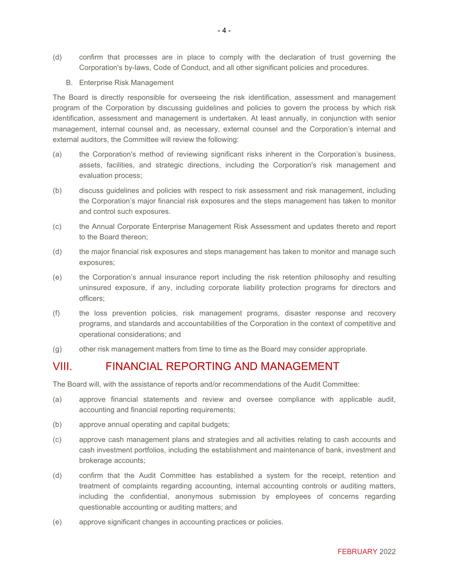- (d) confirm that processes are in place to comply with the declaration of trust governing the Corporation's by-laws, Code of Conduct, and all other significant policies and procedures.
	- B. Enterprise Risk Management

The Board is directly responsible for overseeing the risk identification, assessment and management program of the Corporation by discussing guidelines and policies to govern the process by which risk identification, assessment and management is undertaken. At least annually, in conjunction with senior management, internal counsel and, as necessary, external counsel and the Corporation's internal and external auditors, the Committee will review the following:

- (a) the Corporation's method of reviewing significant risks inherent in the Corporation's business, assets, facilities, and strategic directions, including the Corporation's risk management and evaluation process;
- (b) discuss guidelines and policies with respect to risk assessment and risk management, including the Corporation's major financial risk exposures and the steps management has taken to monitor and control such exposures.
- (c) the Annual Corporate Enterprise Management Risk Assessment and updates thereto and report to the Board thereon;
- (d) the major financial risk exposures and steps management has taken to monitor and manage such exposures;
- (e) the Corporation's annual insurance report including the risk retention philosophy and resulting uninsured exposure, if any, including corporate liability protection programs for directors and officers;
- (f) the loss prevention policies, risk management programs, disaster response and recovery programs, and standards and accountabilities of the Corporation in the context of competitive and operational considerations; and
- (g) other risk management matters from time to time as the Board may consider appropriate.

## VIII. FINANCIAL REPORTING AND MANAGEMENT

The Board will, with the assistance of reports and/or recommendations of the Audit Committee:

- (a) approve financial statements and review and oversee compliance with applicable audit, accounting and financial reporting requirements;
- (b) approve annual operating and capital budgets;
- (c) approve cash management plans and strategies and all activities relating to cash accounts and cash investment portfolios, including the establishment and maintenance of bank, investment and brokerage accounts;
- (d) confirm that the Audit Committee has established a system for the receipt, retention and treatment of complaints regarding accounting, internal accounting controls or auditing matters, including the confidential, anonymous submission by employees of concerns regarding questionable accounting or auditing matters; and
- (e) approve significant changes in accounting practices or policies.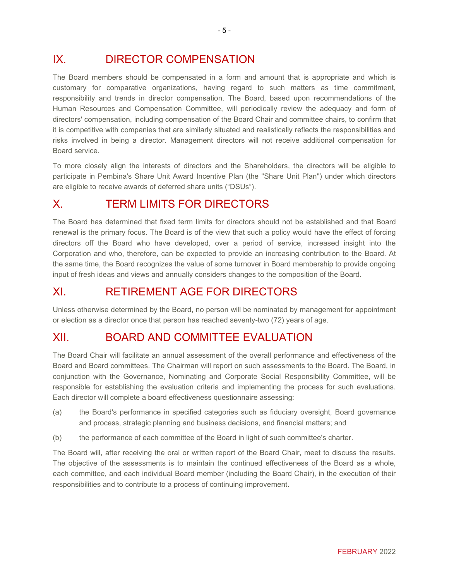# IX. DIRECTOR COMPENSATION

The Board members should be compensated in a form and amount that is appropriate and which is customary for comparative organizations, having regard to such matters as time commitment, responsibility and trends in director compensation. The Board, based upon recommendations of the Human Resources and Compensation Committee, will periodically review the adequacy and form of directors' compensation, including compensation of the Board Chair and committee chairs, to confirm that it is competitive with companies that are similarly situated and realistically reflects the responsibilities and risks involved in being a director. Management directors will not receive additional compensation for Board service.

To more closely align the interests of directors and the Shareholders, the directors will be eligible to participate in Pembina's Share Unit Award Incentive Plan (the "Share Unit Plan") under which directors are eligible to receive awards of deferred share units ("DSUs").

# X. TERM LIMITS FOR DIRECTORS

The Board has determined that fixed term limits for directors should not be established and that Board renewal is the primary focus. The Board is of the view that such a policy would have the effect of forcing directors off the Board who have developed, over a period of service, increased insight into the Corporation and who, therefore, can be expected to provide an increasing contribution to the Board. At the same time, the Board recognizes the value of some turnover in Board membership to provide ongoing input of fresh ideas and views and annually considers changes to the composition of the Board.

## XI. RETIREMENT AGE FOR DIRECTORS

Unless otherwise determined by the Board, no person will be nominated by management for appointment or election as a director once that person has reached seventy-two (72) years of age.

### XII. BOARD AND COMMITTEE EVALUATION

The Board Chair will facilitate an annual assessment of the overall performance and effectiveness of the Board and Board committees. The Chairman will report on such assessments to the Board. The Board, in conjunction with the Governance, Nominating and Corporate Social Responsibility Committee, will be responsible for establishing the evaluation criteria and implementing the process for such evaluations. Each director will complete a board effectiveness questionnaire assessing:

- (a) the Board's performance in specified categories such as fiduciary oversight, Board governance and process, strategic planning and business decisions, and financial matters; and
- (b) the performance of each committee of the Board in light of such committee's charter.

The Board will, after receiving the oral or written report of the Board Chair, meet to discuss the results. The objective of the assessments is to maintain the continued effectiveness of the Board as a whole, each committee, and each individual Board member (including the Board Chair), in the execution of their responsibilities and to contribute to a process of continuing improvement.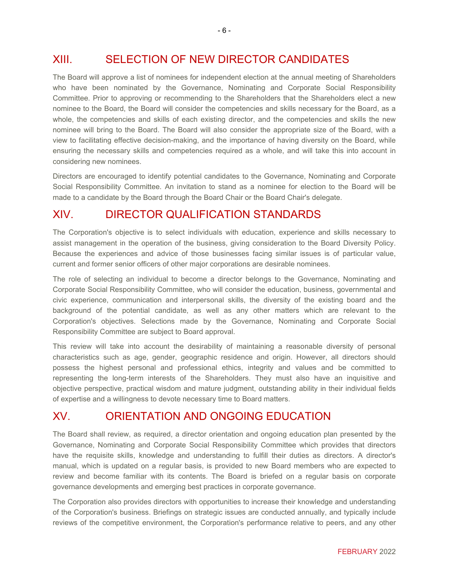# XIII. SELECTION OF NEW DIRECTOR CANDIDATES

The Board will approve a list of nominees for independent election at the annual meeting of Shareholders who have been nominated by the Governance, Nominating and Corporate Social Responsibility Committee. Prior to approving or recommending to the Shareholders that the Shareholders elect a new nominee to the Board, the Board will consider the competencies and skills necessary for the Board, as a whole, the competencies and skills of each existing director, and the competencies and skills the new nominee will bring to the Board. The Board will also consider the appropriate size of the Board, with a view to facilitating effective decision-making, and the importance of having diversity on the Board, while ensuring the necessary skills and competencies required as a whole, and will take this into account in considering new nominees.

Directors are encouraged to identify potential candidates to the Governance, Nominating and Corporate Social Responsibility Committee. An invitation to stand as a nominee for election to the Board will be made to a candidate by the Board through the Board Chair or the Board Chair's delegate.

# XIV. DIRECTOR QUALIFICATION STANDARDS

The Corporation's objective is to select individuals with education, experience and skills necessary to assist management in the operation of the business, giving consideration to the Board Diversity Policy. Because the experiences and advice of those businesses facing similar issues is of particular value, current and former senior officers of other major corporations are desirable nominees.

The role of selecting an individual to become a director belongs to the Governance, Nominating and Corporate Social Responsibility Committee, who will consider the education, business, governmental and civic experience, communication and interpersonal skills, the diversity of the existing board and the background of the potential candidate, as well as any other matters which are relevant to the Corporation's objectives. Selections made by the Governance, Nominating and Corporate Social Responsibility Committee are subject to Board approval.

This review will take into account the desirability of maintaining a reasonable diversity of personal characteristics such as age, gender, geographic residence and origin. However, all directors should possess the highest personal and professional ethics, integrity and values and be committed to representing the long-term interests of the Shareholders. They must also have an inquisitive and objective perspective, practical wisdom and mature judgment, outstanding ability in their individual fields of expertise and a willingness to devote necessary time to Board matters.

## XV. ORIENTATION AND ONGOING EDUCATION

The Board shall review, as required, a director orientation and ongoing education plan presented by the Governance, Nominating and Corporate Social Responsibility Committee which provides that directors have the requisite skills, knowledge and understanding to fulfill their duties as directors. A director's manual, which is updated on a regular basis, is provided to new Board members who are expected to review and become familiar with its contents. The Board is briefed on a regular basis on corporate governance developments and emerging best practices in corporate governance.

The Corporation also provides directors with opportunities to increase their knowledge and understanding of the Corporation's business. Briefings on strategic issues are conducted annually, and typically include reviews of the competitive environment, the Corporation's performance relative to peers, and any other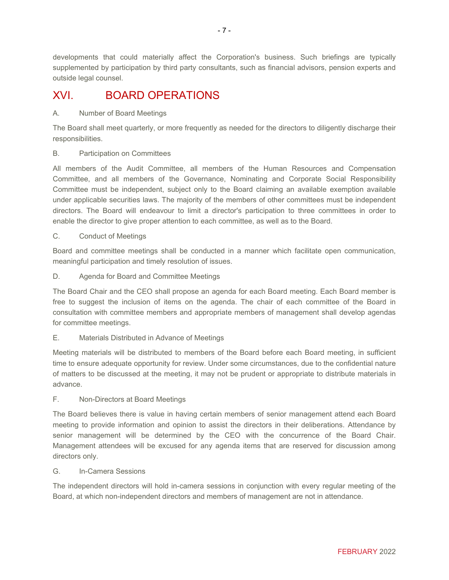developments that could materially affect the Corporation's business. Such briefings are typically supplemented by participation by third party consultants, such as financial advisors, pension experts and outside legal counsel.

# XVI. BOARD OPERATIONS

#### A. Number of Board Meetings

The Board shall meet quarterly, or more frequently as needed for the directors to diligently discharge their responsibilities.

#### B. Participation on Committees

All members of the Audit Committee, all members of the Human Resources and Compensation Committee, and all members of the Governance, Nominating and Corporate Social Responsibility Committee must be independent, subject only to the Board claiming an available exemption available under applicable securities laws. The majority of the members of other committees must be independent directors. The Board will endeavour to limit a director's participation to three committees in order to enable the director to give proper attention to each committee, as well as to the Board.

#### C. Conduct of Meetings

Board and committee meetings shall be conducted in a manner which facilitate open communication, meaningful participation and timely resolution of issues.

D. Agenda for Board and Committee Meetings

The Board Chair and the CEO shall propose an agenda for each Board meeting. Each Board member is free to suggest the inclusion of items on the agenda. The chair of each committee of the Board in consultation with committee members and appropriate members of management shall develop agendas for committee meetings.

#### E. Materials Distributed in Advance of Meetings

Meeting materials will be distributed to members of the Board before each Board meeting, in sufficient time to ensure adequate opportunity for review. Under some circumstances, due to the confidential nature of matters to be discussed at the meeting, it may not be prudent or appropriate to distribute materials in advance.

#### F. Non-Directors at Board Meetings

The Board believes there is value in having certain members of senior management attend each Board meeting to provide information and opinion to assist the directors in their deliberations. Attendance by senior management will be determined by the CEO with the concurrence of the Board Chair. Management attendees will be excused for any agenda items that are reserved for discussion among directors only.

#### G. In-Camera Sessions

The independent directors will hold in-camera sessions in conjunction with every regular meeting of the Board, at which non-independent directors and members of management are not in attendance.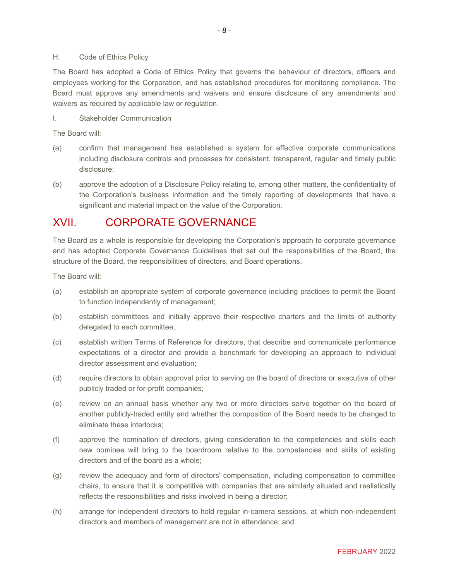The Board has adopted a Code of Ethics Policy that governs the behaviour of directors, officers and employees working for the Corporation, and has established procedures for monitoring compliance. The Board must approve any amendments and waivers and ensure disclosure of any amendments and waivers as required by applicable law or regulation.

I. Stakeholder Communication

The Board will:

- (a) confirm that management has established a system for effective corporate communications including disclosure controls and processes for consistent, transparent, regular and timely public disclosure;
- (b) approve the adoption of a Disclosure Policy relating to, among other matters, the confidentiality of the Corporation's business information and the timely reporting of developments that have a significant and material impact on the value of the Corporation.

## XVII. CORPORATE GOVERNANCE

The Board as a whole is responsible for developing the Corporation's approach to corporate governance and has adopted Corporate Governance Guidelines that set out the responsibilities of the Board, the structure of the Board, the responsibilities of directors, and Board operations.

The Board will:

- (a) establish an appropriate system of corporate governance including practices to permit the Board to function independently of management;
- (b) establish committees and initially approve their respective charters and the limits of authority delegated to each committee;
- (c) establish written Terms of Reference for directors, that describe and communicate performance expectations of a director and provide a benchmark for developing an approach to individual director assessment and evaluation;
- (d) require directors to obtain approval prior to serving on the board of directors or executive of other publicly traded or for-profit companies;
- (e) review on an annual basis whether any two or more directors serve together on the board of another publicly-traded entity and whether the composition of the Board needs to be changed to eliminate these interlocks;
- (f) approve the nomination of directors, giving consideration to the competencies and skills each new nominee will bring to the boardroom relative to the competencies and skills of existing directors and of the board as a whole;
- (g) review the adequacy and form of directors' compensation, including compensation to committee chairs, to ensure that it is competitive with companies that are similarly situated and realistically reflects the responsibilities and risks involved in being a director;
- (h) arrange for independent directors to hold regular in-camera sessions, at which non-independent directors and members of management are not in attendance; and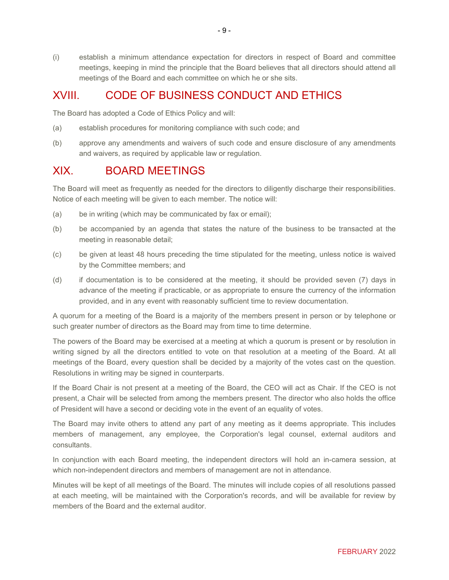(i) establish a minimum attendance expectation for directors in respect of Board and committee meetings, keeping in mind the principle that the Board believes that all directors should attend all meetings of the Board and each committee on which he or she sits.

## XVIII. CODE OF BUSINESS CONDUCT AND ETHICS

The Board has adopted a Code of Ethics Policy and will:

- (a) establish procedures for monitoring compliance with such code; and
- (b) approve any amendments and waivers of such code and ensure disclosure of any amendments and waivers, as required by applicable law or regulation.

### XIX. BOARD MEETINGS

The Board will meet as frequently as needed for the directors to diligently discharge their responsibilities. Notice of each meeting will be given to each member. The notice will:

- (a) be in writing (which may be communicated by fax or email);
- (b) be accompanied by an agenda that states the nature of the business to be transacted at the meeting in reasonable detail;
- (c) be given at least 48 hours preceding the time stipulated for the meeting, unless notice is waived by the Committee members; and
- (d) if documentation is to be considered at the meeting, it should be provided seven (7) days in advance of the meeting if practicable, or as appropriate to ensure the currency of the information provided, and in any event with reasonably sufficient time to review documentation.

A quorum for a meeting of the Board is a majority of the members present in person or by telephone or such greater number of directors as the Board may from time to time determine.

The powers of the Board may be exercised at a meeting at which a quorum is present or by resolution in writing signed by all the directors entitled to vote on that resolution at a meeting of the Board. At all meetings of the Board, every question shall be decided by a majority of the votes cast on the question. Resolutions in writing may be signed in counterparts.

If the Board Chair is not present at a meeting of the Board, the CEO will act as Chair. If the CEO is not present, a Chair will be selected from among the members present. The director who also holds the office of President will have a second or deciding vote in the event of an equality of votes.

The Board may invite others to attend any part of any meeting as it deems appropriate. This includes members of management, any employee, the Corporation's legal counsel, external auditors and consultants.

In conjunction with each Board meeting, the independent directors will hold an in-camera session, at which non-independent directors and members of management are not in attendance.

Minutes will be kept of all meetings of the Board. The minutes will include copies of all resolutions passed at each meeting, will be maintained with the Corporation's records, and will be available for review by members of the Board and the external auditor.